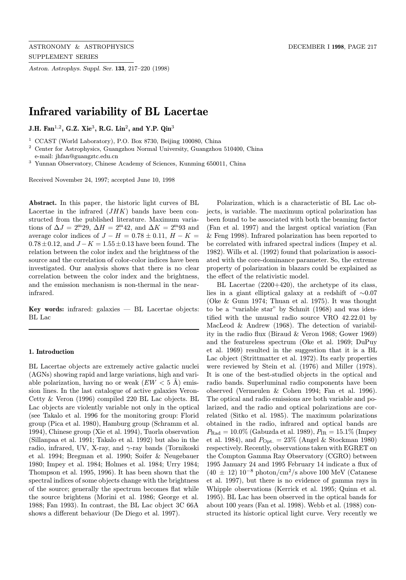Astron. Astrophys. Suppl. Ser. 133, 217–220 (1998)

# Infrared variability of BL Lacertae

J.H. Fan<sup>1,2</sup>, G.Z. Xie<sup>3</sup>, R.G. Lin<sup>2</sup>, and Y.P. Qin<sup>3</sup>

<sup>1</sup> CCAST (World Laboratory), P.O. Box 8730, Beijing 100080, China

<sup>2</sup> Center for Astrophysics, Guangzhou Normal University, Guangzhou 510400, China e-mail: jhfan@guangztc.edu.cn

<sup>3</sup> Yunnan Observatory, Chinese Academy of Sciences, Kunming 650011, China

Received November 24, 1997; accepted June 10, 1998

Abstract. In this paper, the historic light curves of BL Lacertae in the infrared  $(JHK)$  bands have been constructed from the published literature. Maximum variations of  $\Delta J = 2^{\rm m}29$ ,  $\Delta H = 2^{\rm m}42$ , and  $\Delta K = 2^{\rm m}93$  and average color indices of  $J - H = 0.78 \pm 0.11$ ,  $H - K =$  $0.78 \pm 0.12$ , and  $J - K = 1.55 \pm 0.13$  have been found. The relation between the color index and the brightness of the source and the correlation of color-color indices have been investigated. Our analysis shows that there is no clear correlation between the color index and the brightness, and the emission mechanism is non-thermal in the nearinfrared.

Key words: infrared: galaxies  $-$  BL Lacertae objects: BL Lac

# 1. Introduction

BL Lacertae objects are extremely active galactic nuclei (AGNs) showing rapid and large variations, high and variable polarization, having no or weak  $(EW < 5 \text{ Å})$  emission lines. In the last catalogue of active galaxies Veron-Cetty & Veron (1996) compiled 220 BL Lac objects. BL Lac objects are violently variable not only in the optical (see Takalo et al. 1996 for the monitoring group: Florid group (Pica et al. 1980), Hamburg group (Schramm et al. 1994), Chinese group (Xie et al. 1994), Tuorla observation (Sillanpaa et al. 1991; Takalo et al. 1992) but also in the radio, infrared, UV, X-ray, and  $\gamma$ -ray bands (Tornikoski et al. 1994; Bregman et al. 1990; Soifer & Neugebauer 1980; Impey et al. 1984; Holmes et al. 1984; Urry 1984; Thompson et al. 1995, 1996). It has been shown that the spectral indices of some objects change with the brightness of the source; generally the spectrum becomes flat while the source brightens (Morini et al. 1986; George et al. 1988; Fan 1993). In contrast, the BL Lac object 3C 66A shows a different behaviour (De Diego et al. 1997).

Polarization, which is a characteristic of BL Lac objects, is variable. The maximum optical polarization has been found to be associated with both the beaming factor (Fan et al. 1997) and the largest optical variation (Fan & Feng 1998). Infrared polarization has been reported to be correlated with infrared spectral indices (Impey et al. 1982). Wills et al. (1992) found that polarization is associated with the core-dominance parameter. So, the extreme property of polarization in blazars could be explained as the effect of the relativistic model.

BL Lacertae (2200+420), the archetype of its class, lies in a giant elliptical galaxy at a redshift of ∼0.07 (Oke & Gunn 1974; Thuan et al. 1975). It was thought to be a "variable star" by Schmit (1968) and was identified with the unusual radio source VRO 42.22.01 by MacLeod & Andrew (1968). The detection of variability in the radio flux (Biraud & Veron 1968; Gower 1969) and the featureless spectrum (Oke et al. 1969; DuPuy et al. 1969) resulted in the suggestion that it is a BL Lac object (Strittmatter et al. 1972). Its early properties were reviewed by Stein et al. (1976) and Miller (1978). It is one of the best-studied objects in the optical and radio bands. Superluminal radio components have been observed (Vermeulen & Cohen 1994; Fan et al. 1996). The optical and radio emissions are both variable and polarized, and the radio and optical polarizations are correlated (Sitko et al. 1985). The maximum polarizations obtained in the radio, infrared and optical bands are  $P_{\text{Rad}} = 10.0\%$  (Gabuzda et al. 1989),  $P_{\text{IR}} = 15.1\%$  (Impey et al. 1984), and  $P_{\text{Opt.}} = 23\%$  (Angel & Stockman 1980) respectively. Recently, observations taken with EGRET on the Compton Gamma Ray Observatory (CGRO) between 1995 January 24 and 1995 February 14 indicate a flux of  $(40 \pm 12) 10^{-8}$  photon/cm<sup>2</sup>/s above 100 MeV (Catanese et al. 1997), but there is no evidence of gamma rays in Whipple observations (Kerrick et al. 1995; Quinn et al. 1995). BL Lac has been observed in the optical bands for about 100 years (Fan et al. 1998). Webb et al. (1988) constructed its historic optical light curve. Very recently we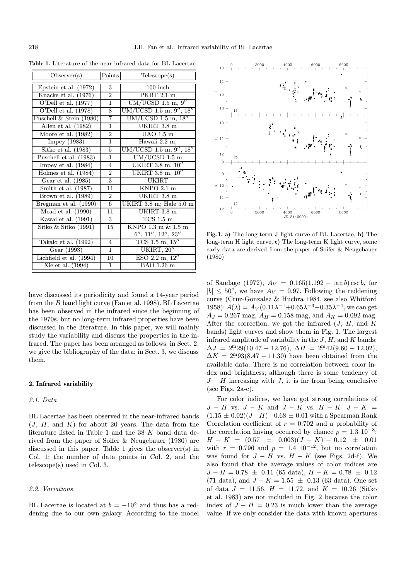| Observer(s)                             | Points          | Telescope(s)                     |
|-----------------------------------------|-----------------|----------------------------------|
| Epstein et al. $(1972)$                 | 3               | $100$ -inch                      |
| Knacke et al. (1976)                    | $\overline{2}$  | $\overline{\mathrm{PKBT}}$ 2.1 m |
| O'Dell et al. $(1977)$                  | $\mathbf{1}$    | $UM/UCSD$ 1.5 m, 9"              |
| O'Dell et al. (1978)                    | 8               | $UM/UCSD$ 1.5 m, 9", 18"         |
| Puschell & Stein (1980)                 | $\overline{7}$  | $UM/UCSD$ 1.5 m, $18''$          |
| Allen et al. $(1982)$                   | $\mathbf{1}$    | UKIRT 3.8 m                      |
| Moore et al. $(1982)$                   | $\overline{2}$  | $UAO$ $\overline{1.5 \text{ m}}$ |
| Impey $(1983)$                          | $\overline{1}$  | Hawaii 2.2 m,                    |
| $\overline{\text{Sitko et al.} (1983)}$ | $\overline{5}$  | $UM/UCSD$ 1.5 m, 9'', 18''       |
| Puschell et al. (1983)                  | $\overline{1}$  | $UM/UCSD$ 1.5 m                  |
| Impey et al. $(1984)$                   | $\overline{4}$  | UKIRT 3.8 m, 10"                 |
| Holmes et al. (1984)                    | $\overline{2}$  | UKIRT 3.8 m, 10"                 |
| Gear et al. (1985)                      | $\overline{3}$  | UKIRT                            |
| Smith et al. (1987)                     | 11              | $KNPO$ 2.1 m                     |
| Brown et al. (1989)                     | $\overline{2}$  | UKIRT 3.8 m                      |
| Bregman et al. (1990)                   | $6\phantom{.0}$ | UKIRT 3.8 m; Hale 5.0 m          |
| Mead et al. (1990)                      | 11              | UKIRT 3.8 m                      |
| Kawai et al. (1991)                     | 3               | $TCS$ 1.5 m                      |
| Sitko & Sitko $(1991)$                  | 15              | KNPO 1.3 m & 1.5 m               |
|                                         |                 | 6'', 11'', 12'', 23''            |
| Takalo et al. $(1992)$                  | 4               | $TCS$ 1.5 m, $15''$              |
| Gear (1993)                             | $\mathbf{1}$    | UKIRT, 20"                       |
| Lichfield et al. $(1994)$               | 10              | ESO 2.2 m, 12''                  |
| Xie et al. (1994)                       | $\mathbf{1}$    | BAO 1.26 m                       |

Table 1. Literature of the near-infrared data for BL Lacertae

have discussed its periodicity and found a 14-year period from the B band light curve (Fan et al. 1998). BL Lacertae has been observed in the infrared since the beginning of the 1970s, but no long-term infrared properties have been discussed in the literature. In this paper, we will mainly study the variability and discuss the properties in the infrared. The paper has been arranged as follows: in Sect. 2, we give the bibliography of the data; in Sect. 3, we discuss them.

## 2. Infrared variability

# 2.1. Data

BL Lacertae has been observed in the near-infrared bands  $(J, H, \text{ and } K)$  for about 20 years. The data from the literature listed in Table 1 and the 38 K band data derived from the paper of Soifer & Neugebauer (1980) are discussed in this paper. Table 1 gives the observer(s) in Col. 1; the number of data points in Col. 2, and the telescope(s) used in Col. 3.

#### 2.2. Variations

BL Lacertae is located at  $b = -10°$  and thus has a reddening due to our own galaxy. According to the model



Fig. 1. a) The long-term J light curve of BL Lacertae, b) The long-term H light curve, c) The long-term K light curve, some early data are derived from the paper of Soifer & Neugebauer (1980)

of Sandage (1972),  $A_V = 0.165(1.192 - \tan b)\csc b$ , for  $|b| \leq 50^{\circ}$ , we have  $A_V = 0.97$ . Following the reddening curve (Cruz-Gonzalez & Huchra 1984, see also Whitford 1958):  $A(\lambda) = A_V(0.11\lambda^{-1} + 0.65\lambda^{-3} - 0.35\lambda^{-4})$ , we can get  $A_J = 0.267$  mag,  $A_H = 0.158$  mag, and  $A_K = 0.092$  mag. After the correction, we got the infrared  $(J, H, \text{ and } K)$ bands) light curves and show them in Fig. 1. The largest infrared amplitude of variability in the  $J, H$ , and  $K$  bands:  $\Delta J = 2^{m} 29(10.47 - 12.76), \ \Delta H = 2^{m} 42(9.60 - 12.02),$  $\Delta K = 2^{m}93(8.47 - 11.30)$  have been obtained from the available data. There is no correlation between color index and brightness; although there is some tendency of  $J - H$  increasing with J, it is far from being conclusive (see Figs.  $2a-c$ ).

For color indices, we have got strong correlations of  $J - H$  vs.  $J - K$  and  $J - K$  vs.  $H - K: J - K =$  $(1.15 \pm 0.02)(J-H)+0.68 \pm 0.01$  with a Spearman Rank Correlation coefficient of  $r = 0.702$  and a probability of the correlation having occurred by chance  $p = 1.3 \times 10^{-8}$ ;  $H - K = (0.57 \pm 0.003)(J - K) - 0.12 \pm 0.01$ with  $r = 0.796$  and  $p = 1.4 \times 10^{-12}$ , but no correlation was found for  $J - H$  vs.  $H - K$  (see Figs. 2d-f). We also found that the average values of color indices are  $J - H = 0.78 \pm 0.11$  (65 data),  $H - K = 0.78 \pm 0.12$ (71 data), and  $J - K = 1.55 \pm 0.13$  (63 data). One set of data  $J = 11.56$ ,  $H = 11.72$ , and  $K = 10.26$  (Sitko) et al. 1983) are not included in Fig. 2 because the color index of  $J - H = 0.23$  is much lower than the average value. If we only consider the data with known apertures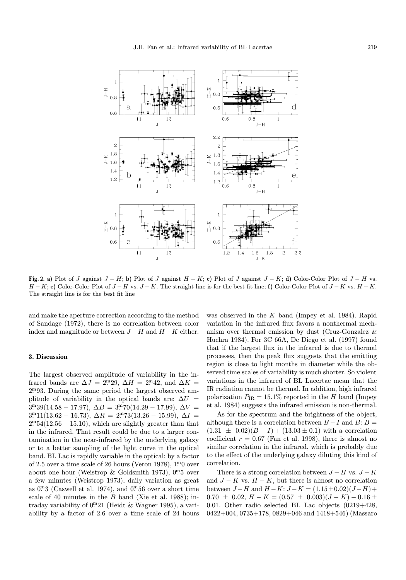

Fig. 2. a) Plot of J against  $J - H$ ; b) Plot of J against  $H - K$ ; c) Plot of J against  $J - K$ ; d) Color-Color Plot of  $J - H$  vs.  $H - K$ ; e) Color-Color Plot of  $J - H$  vs.  $J - K$ . The straight line is for the best fit line; f) Color-Color Plot of  $J - K$  vs.  $H - K$ . The straight line is for the best fit line

and make the aperture correction according to the method of Sandage (1972), there is no correlation between color index and magnitude or between  $J-H$  and  $H-K$  either.

### 3. Discussion

The largest observed amplitude of variability in the infrared bands are  $\Delta J = 2^{\rm m}29$ ,  $\Delta H = 2^{\rm m}42$ , and  $\Delta K =$ 2. <sup>m</sup>93. During the same period the largest observed amplitude of variability in the optical bands are:  $\Delta U =$  $3^{m}39(14.58 - 17.97), \ \Delta B = 3^{m}70(14.29 - 17.99), \ \Delta V =$  $3^{m}11(13.62 - 16.73), \ \Delta R = 2^{m}73(13.26 - 15.99), \ \Delta I =$  $2^{m}54(12.56 - 15.10)$ , which are slightly greater than that in the infrared. That result could be due to a larger contamination in the near-infrared by the underlying galaxy or to a better sampling of the light curve in the optical band. BL Lac is rapidly variable in the optical: by a factor of 2.5 over a time scale of 26 hours (Veron 1978),  $1<sup>m</sup>0$  over about one hour (Weistrop & Goldsmith 1973),  $0.5$  over a few minutes (Weistrop 1973), daily variation as great as  $0.3$  (Caswell et al. 1974), and  $0.56$  over a short time scale of 40 minutes in the  $B$  band (Xie et al. 1988); intraday variability of 0. 21 (Heidt & Wagner 1995), a variability by a factor of 2.6 over a time scale of 24 hours was observed in the  $K$  band (Impey et al. 1984). Rapid variation in the infrared flux favors a nonthermal mechanism over thermal emission by dust (Cruz-Gonzalez & Huchra 1984). For 3C 66A, De Diego et al. (1997) found that if the largest flux in the infrared is due to thermal processes, then the peak flux suggests that the emitting region is close to light months in diameter while the observed time scales of variability is much shorter. So violent variations in the infrared of BL Lacertae mean that the IR radiation cannot be thermal. In addition, high infrared polarization  $P_{\text{IR}} = 15.1\%$  reported in the H band (Impey et al. 1984) suggests the infrared emission is non-thermal.

As for the spectrum and the brightness of the object, although there is a correlation between  $B-I$  and  $B: B =$  $(1.31 \pm 0.02)(B - I) + (13.03 \pm 0.1)$  with a correlation coefficient  $r = 0.67$  (Fan et al. 1998), there is almost no similar correlation in the infrared, which is probably due to the effect of the underlying galaxy diluting this kind of correlation.

There is a strong correlation between  $J - H$  vs.  $J - K$ and  $J - K$  vs.  $H - K$ , but there is almost no correlation between  $J-H$  and  $H-K: J-K = (1.15 \pm 0.02)(J-H)+$  $0.70 \pm 0.02$ ,  $H - K = (0.57 \pm 0.003)(J - K) - 0.16 \pm 0.003$ 0.01. Other radio selected BL Lac objects (0219+428, 0422+004, 0735+178, 0829+046 and 1418+546) (Massaro